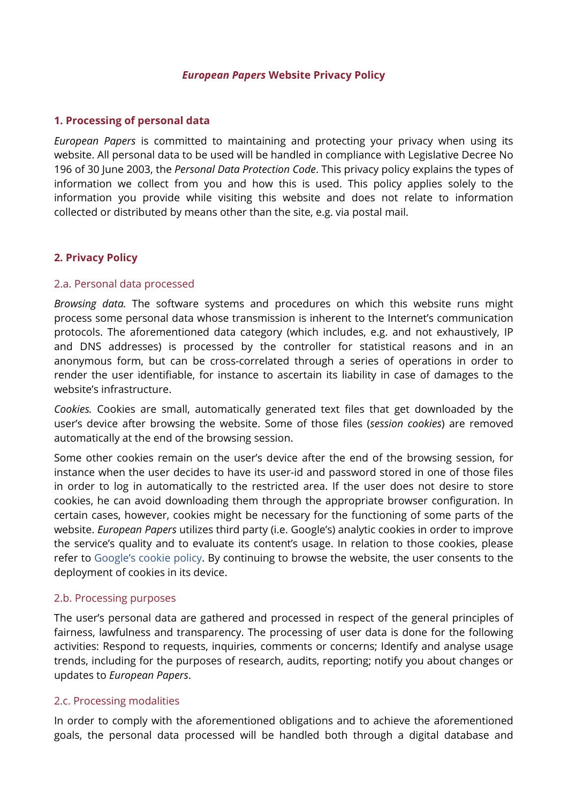#### *European Papers* **Website Privacy Policy**

## **1. Processing of personal data**

*European Papers* is committed to maintaining and protecting your privacy when using its website. All personal data to be used will be handled in compliance with Legislative Decree No 196 of 30 June 2003, the *Personal Data Protection Code*. This privacy policy explains the types of information we collect from you and how this is used. This policy applies solely to the information you provide while visiting this website and does not relate to information collected or distributed by means other than the site, e.g. via postal mail.

## **2. Privacy Policy**

#### 2.a. Personal data processed

*Browsing data.* The software systems and procedures on which this website runs might process some personal data whose transmission is inherent to the Internet's communication protocols. The aforementioned data category (which includes, e.g. and not exhaustively, IP and DNS addresses) is processed by the controller for statistical reasons and in an anonymous form, but can be cross-correlated through a series of operations in order to render the user identifiable, for instance to ascertain its liability in case of damages to the website's infrastructure.

*Cookies.* Cookies are small, automatically generated text files that get downloaded by the user's device after browsing the website. Some of those files (*session cookies*) are removed automatically at the end of the browsing session.

Some other cookies remain on the user's device after the end of the browsing session, for instance when the user decides to have its user-id and password stored in one of those files in order to log in automatically to the restricted area. If the user does not desire to store cookies, he can avoid downloading them through the appropriate browser configuration. In certain cases, however, cookies might be necessary for the functioning of some parts of the website. *European Papers* utilizes third party (i.e. Google's) analytic cookies in order to improve the service's quality and to evaluate its content's usage. In relation to those cookies, please refer to [Google's cookie policy.](https://support.google.com/analytics/answer/6004245?hl=en) By continuing to browse the website, the user consents to the deployment of cookies in its device.

## 2.b. Processing purposes

The user's personal data are gathered and processed in respect of the general principles of fairness, lawfulness and transparency. The processing of user data is done for the following activities: Respond to requests, inquiries, comments or concerns; Identify and analyse usage trends, including for the purposes of research, audits, reporting; notify you about changes or updates to *European Papers*.

#### 2.c. Processing modalities

In order to comply with the aforementioned obligations and to achieve the aforementioned goals, the personal data processed will be handled both through a digital database and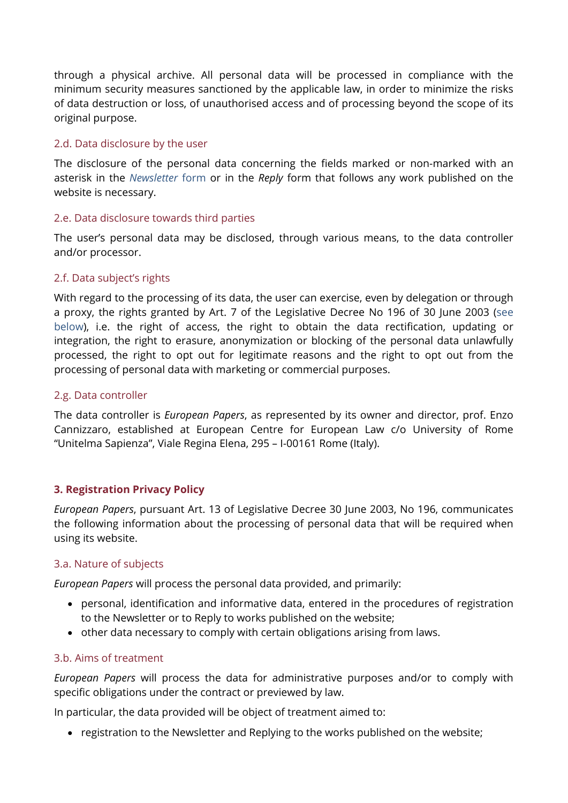through a physical archive. All personal data will be processed in compliance with the minimum security measures sanctioned by the applicable law, in order to minimize the risks of data destruction or loss, of unauthorised access and of processing beyond the scope of its original purpose.

# 2.d. Data disclosure by the user

The disclosure of the personal data concerning the fields marked or non-marked with an asterisk in the *[Newsletter](https://www.europeanpapers.eu/content/subscribe-european-papers-newsletter)* form or in the *Reply* form that follows any work published on the website is necessary.

## 2.e. Data disclosure towards third parties

The user's personal data may be disclosed, through various means, to the data controller and/or processor.

## 2.f. Data subject's rights

With regard to the processing of its data, the user can exercise, even by delegation or through a proxy, the rights granted by Art. 7 of the Legislative Decree No 196 of 30 June 2003 [\(see](#page-2-0)  [below\)](#page-2-0), i.e. the right of access, the right to obtain the data rectification, updating or integration, the right to erasure, anonymization or blocking of the personal data unlawfully processed, the right to opt out for legitimate reasons and the right to opt out from the processing of personal data with marketing or commercial purposes.

## 2.g. Data controller

The data controller is *European Papers*, as represented by its owner and director, prof. Enzo Cannizzaro, established at European Centre for European Law c/o University of Rome "Unitelma Sapienza", Viale Regina Elena, 295 – I-00161 Rome (Italy).

## **3. Registration Privacy Policy**

*European Papers*, pursuant Art. 13 of Legislative Decree 30 June 2003, No 196, communicates the following information about the processing of personal data that will be required when using its website.

## 3.a. Nature of subjects

*European Papers* will process the personal data provided, and primarily:

- personal, identification and informative data, entered in the procedures of registration to the Newsletter or to Reply to works published on the website;
- other data necessary to comply with certain obligations arising from laws.

#### 3.b. Aims of treatment

*European Papers* will process the data for administrative purposes and/or to comply with specific obligations under the contract or previewed by law.

In particular, the data provided will be object of treatment aimed to:

• registration to the Newsletter and Replying to the works published on the website;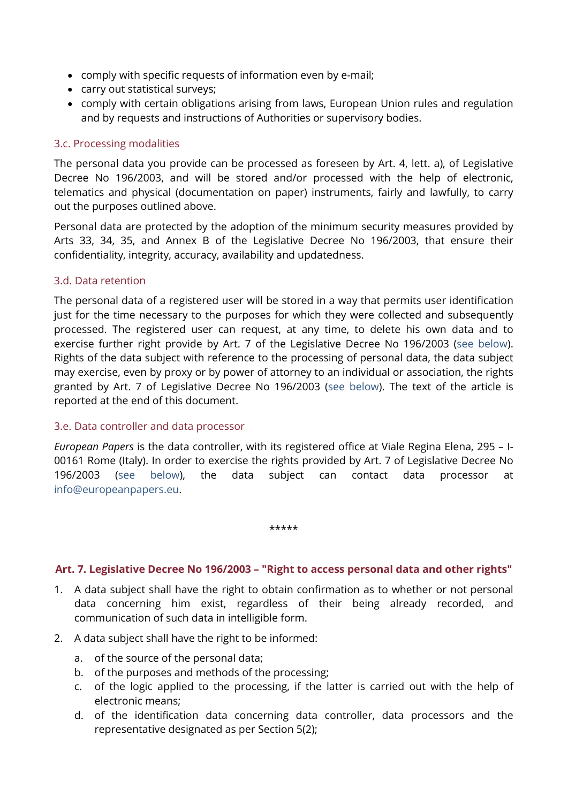- comply with specific requests of information even by e-mail;
- carry out statistical surveys;
- comply with certain obligations arising from laws, European Union rules and regulation and by requests and instructions of Authorities or supervisory bodies.

## 3.c. Processing modalities

The personal data you provide can be processed as foreseen by Art. 4, lett. a), of Legislative Decree No 196/2003, and will be stored and/or processed with the help of electronic, telematics and physical (documentation on paper) instruments, fairly and lawfully, to carry out the purposes outlined above.

Personal data are protected by the adoption of the minimum security measures provided by Arts 33, 34, 35, and Annex B of the Legislative Decree No 196/2003, that ensure their confidentiality, integrity, accuracy, availability and updatedness.

#### 3.d. Data retention

The personal data of a registered user will be stored in a way that permits user identification just for the time necessary to the purposes for which they were collected and subsequently processed. The registered user can request, at any time, to delete his own data and to exercise further right provide by Art. 7 of the Legislative Decree No 196/2003 [\(see below\)](#page-2-0). Rights of the data subject with reference to the processing of personal data, the data subject may exercise, even by proxy or by power of attorney to an individual or association, the rights granted by Art. 7 of Legislative Decree No 196/2003 [\(see below\)](#page-2-0). The text of the article is reported at the end of this document.

#### 3.e. Data controller and data processor

*European Papers* is the data controller, with its registered office at Viale Regina Elena, 295 – I-00161 Rome (Italy). In order to exercise the rights provided by Art. 7 of Legislative Decree No 196/2003 [\(see below\)](#page-2-0), the data subject can contact data processor at [info@europeanpapers.eu.](mailto:)

\*\*\*\*\*

# <span id="page-2-0"></span>**Art. 7. Legislative Decree No 196/2003 – "Right to access personal data and other rights"**

- 1. A data subject shall have the right to obtain confirmation as to whether or not personal data concerning him exist, regardless of their being already recorded, and communication of such data in intelligible form.
- 2. A data subject shall have the right to be informed:
	- a. of the source of the personal data;
	- b. of the purposes and methods of the processing;
	- c. of the logic applied to the processing, if the latter is carried out with the help of electronic means;
	- d. of the identification data concerning data controller, data processors and the representative designated as per Section 5(2);